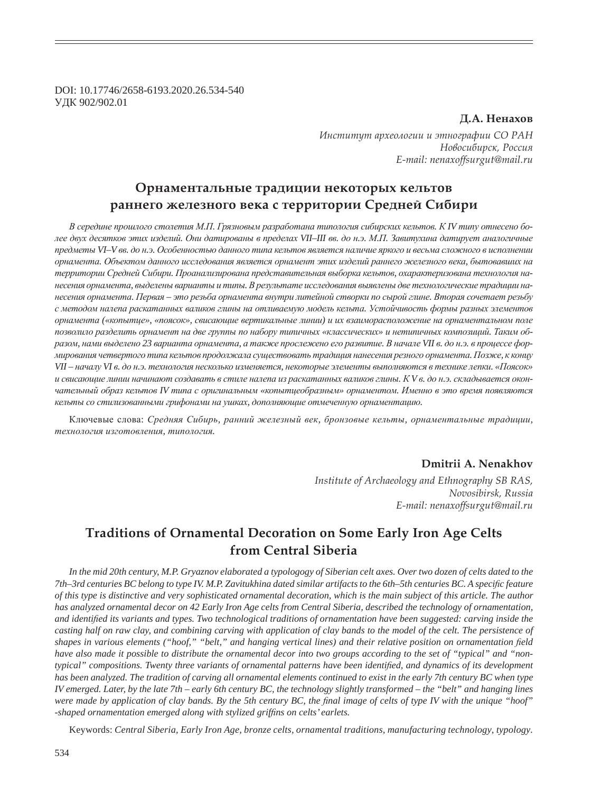DOI: 10.17746/2658-6193.2020.26.534-540 ɍȾɄ 902/902.01

### **Д.А. Ненахов**

*ǶțȟȠȖȠȡȠ ȎȞȣȓȜșȜȑȖȖ Ȗ ȫȠțȜȑȞȎȢȖȖ ǿǼ ǾǮǻ*  $H$ овосибирск, Россия *E-mail: nenaxoffsurgut@mail.ru*

# Орнаментальные традиции некоторых кельтов  $\boldsymbol{p}$ аннего железного века с территории Средней Сибири

В середине прошлого столетия М.П. Грязновым разработана типология сибирских кельтов. К IV типу отнесено более двух десятков этих изделий. Они датированы в пределах VII-III вв. до н.э. М.П. Завитухина датирует аналогичные предметы VI–V вв. до н.э. Особенностью данного типа кельтов является наличие яркого и весьма сложного в исполнении орнамента. Объектом данного исследования является орнамент этих изделий раннего железного века, бытовавших на территории Средней Сибири. Проанализирована представительная выборка кельтов, охарактеризована технология нанесения орнамента, выделены варианты и типы. В результате исследования выявлены две технологические традиции нанесения орнамента. Первая - это резьба орнамента внутри литейной створки по сырой глине. Вторая сочетает резьбу с методом налепа раскатанных валиков глины на отливаемую модель кельта. Устойчивость формы разных элементов  $\delta$ *орнамента* («копытце», «поясок», свисающие вертикальные линии) и их взаиморасположение на орнаментальном поле позволило разделить орнамент на две группы по набору типичных «классических» и нетипичных композиций. Таким образом, нами выделено 23 варианта орнамента, а также прослежено его развитие. В начале VII в. до н.э. в процессе форлирования четвертого типа кельтов продолжала существовать традиция нанесения резного орнамента. Позже, к концу VII – началу VI в. до н.э. технология несколько изменяется, некоторые элементы выполняются в технике лепки. «Поясок» и свисающие линии начинают создавать в стиле налепа из раскатанных валиков глины. К V в. до н.э. складывается окончательный образ кельтов IV типа с оригинальным «копытцеобразным» орнаментом. Именно в это время появляются кельты со стилизованными грифонами на ушках, дополняющие отмеченную орнаментацию.

Ʉɥɸɱɟɜɵɟ ɫɥɨɜɚ: *ɋɪɟɞɧɹɹ ɋɢɛɢɪɶ, ɪɚɧɧɢɣ ɠɟɥɟɡɧɵɣ ɜɟɤ, ɛɪɨɧɡɨɜɵɟ ɤɟɥɶɬɵ, ɨɪɧɚɦɟɧɬɚɥɶɧɵɟ ɬɪɚɞɢɰɢɢ,*   $mexhohozu$ я изготовления, типология.

# **Dmitrii A. Nenakhov**

*Institute of Archaeology and Ethnography SB RAS, Novosibirsk, Russia E-mail: nenaxoffsurgut@mail.ru*

# **Traditions of Ornamental Decoration on Some Early Iron Age Celts from Central Siberia**

*In the mid 20th century, M.P. Gryaznov elaborated a typologogy of Siberian celt axes. Over two dozen of celts dated to the 7th–3rd centuries BC belong to type IV. M.P. Zavitukhina dated similar artifacts to the 6th–5th centuries BC. A speci¿ c feature of this type is distinctive and very sophisticated ornamental decoration, which is the main subject of this article. The author has analyzed ornamental decor on 42 Early Iron Age celts from Central Siberia, described the technology of ornamentation, and identi¿ ed its variants and types. Two technological traditions of ornamentation have been suggested: carving inside the casting half on raw clay, and combining carving with application of clay bands to the model of the celt. The persistence of shapes in various elements ("hoof," "belt," and hanging vertical lines) and their relative position on ornamentation field have also made it possible to distribute the ornamental decor into two groups according to the set of "typical" and "nontypical" compositions. Twenty three variants of ornamental patterns have been identified, and dynamics of its development has been analyzed. The tradition of carving all ornamental elements continued to exist in the early 7th century BC when type IV emerged. Later, by the late 7th – early 6th century BC, the technology slightly transformed – the "belt" and hanging lines were made by application of clay bands. By the 5th century BC, the final image of celts of type IV with the unique "hoof"* -shaped ornamentation emerged along with stylized griffins on celts' earlets.

Keywords: *Central Siberia, Early Iron Age, bronze celts, ornamental traditions, manufacturing technology, typology.*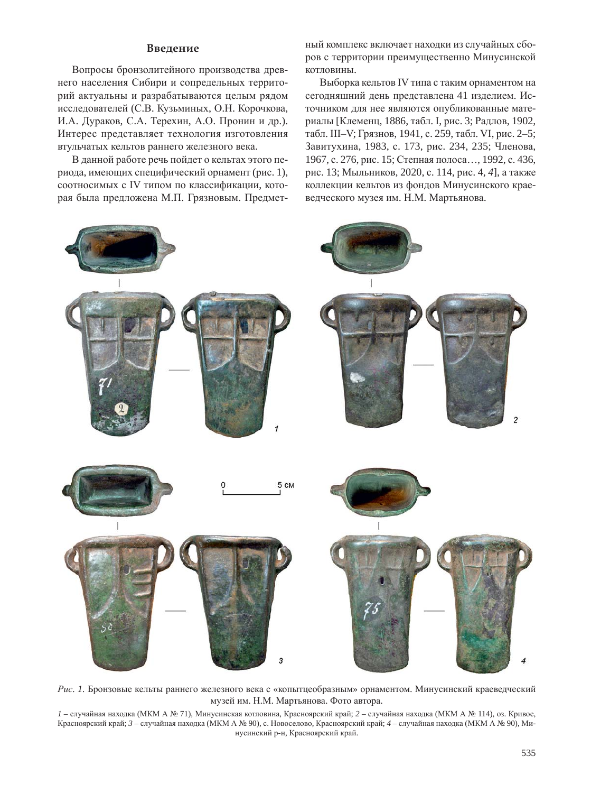## **Введение**

Вопросы бронзолитейного производства древнего населения Сибири и сопредельных территорий актуальны и разрабатываются целым рядом исследователей (С.В. Кузьминых, О.Н. Корочкова, И.А. Дураков, С.А. Терехин, А.О. Пронин и др.). Интерес представляет технология изготовления втульчатых кельтов раннего железного века.

В данной работе речь пойдет о кельтах этого периода, имеющих специфический орнамент (рис. 1), соотносимых с IV типом по классификации, которая была предложена М.П. Грязновым. Предметный комплекс включает находки из случайных сборов с территории преимущественно Минусинской котловины.

Выборка кельтов IV типа с таким орнаментом на сегодняшний день представлена 41 изделием. Источником для нее являются опубликованные материалы [Клеменц, 1886, табл. I, рис. 3; Радлов, 1902, табл. III–V; Грязнов, 1941, с. 259, табл. VI, рис. 2–5; Завитухина, 1983, с. 173, рис. 234, 235; Членова, 1967, с. 276, рис. 15; Степная полоса..., 1992, с. 436, рис. 13; Мыльников, 2020, с. 114, рис. 4, 4], а также коллекции кельтов из фондов Минусинского краеведческого музея им. Н.М. Мартьянова.



Рис. 1. Бронзовые кельты раннего железного века с «копытцеобразным» орнаментом. Минусинский краеведческий музей им. Н.М. Мартьянова. Фото автора.

 $I$  – случайная находка (МКМ А № 71), Минусинская котловина, Красноярский край; 2 – случайная находка (МКМ А № 114), оз. Кривое, Красноярский край; 3 – случайная находка (МКМ А № 90), с. Новоселово, Красноярский край; 4 – случайная находка (МКМ А № 90), Минусинский р-н, Красноярский край.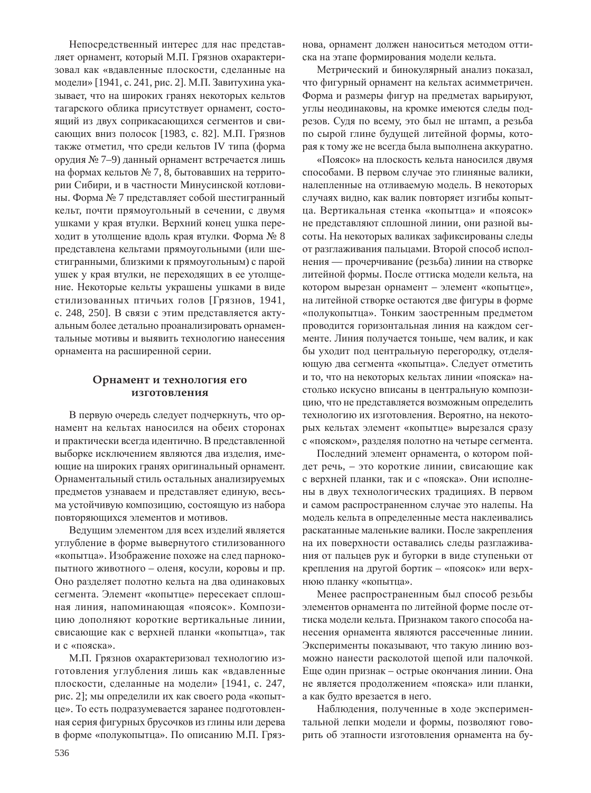Непосредственный интерес для нас представляет орнамент, который М.П. Грязнов охарактеризовал как «вдавленные плоскости, сделанные на модели» [1941, с. 241, рис. 2]. М.П. Завитухина указывает, что на широких гранях некоторых кельтов тагарского облика присутствует орнамент, состоящий из двух соприкасающихся сегментов и свисающих вниз полосок [1983, с. 82]. М.П. Грязнов также отметил, что среди кельтов IV типа (форма орудия № 7–9) данный орнамент встречается лишь на формах кельтов № 7, 8, бытовавших на территории Сибири, и в частности Минусинской котловины. Форма № 7 представляет собой шестигранный кельт, почти прямоугольный в сечении, с двумя ушками у края втулки. Верхний конец ушка переходит в утолщение вдоль края втулки. Форма № 8 представлена кельтами прямоугольными (или шестигранными, близкими к прямоугольным) с парой ушек у края втулки, не переходящих в ее утолщение. Некоторые кельты украшены ушками в виде стилизованных птичьих голов [Грязнов, 1941, с. 248, 250]. В связи с этим представляется актуальным более детально проанализировать орнаментальные мотивы и выявить технологию нанесения орнамента на расширенной серии.

### Орнамент и технология его изготовления

В первую очередь следует подчеркнуть, что орнамент на кельтах наносился на обеих сторонах и практически всегда идентично. В представленной выборке исключением являются два изделия, имеющие на широких гранях оригинальный орнамент. Орнаментальный стиль остальных анализируемых предметов узнаваем и представляет единую, весьма устойчивую композицию, состоящую из набора повторяющихся элементов и мотивов.

Ведущим элементом для всех изделий является углубление в форме вывернутого стилизованного «копытца». Изображение похоже на след парнокопытного животного – оленя, косули, коровы и пр. Оно разделяет полотно кельта на два одинаковых сегмента. Элемент «копытце» пересекает сплошная линия, напоминающая «поясок». Композицию дополняют короткие вертикальные линии, свисающие как с верхней планки «копытца», так и с «пояска».

М.П. Грязнов охарактеризовал технологию изготовления углубления лишь как «вдавленные плоскости, сделанные на модели» [1941, с. 247, рис. 2]; мы определили их как своего рода «копытце». То есть подразумевается заранее подготовленная серия фигурных брусочков из глины или дерева в форме «полукопытца». По описанию М.П. Грязнова, орнамент должен наноситься методом оттиска на этапе формирования модели кельта.

Метрический и бинокулярный анализ показал, что фигурный орнамент на кельтах асимметричен. Форма и размеры фигур на предметах варьируют, углы неодинаковы, на кромке имеются следы подрезов. Судя по всему, это был не штамп, а резьба по сырой глине будущей литейной формы, которая к тому же не всегда была выполнена аккуратно.

«Поясок» на плоскость кельта наносился двумя способами. В первом случае это глиняные валики, налепленные на отливаемую модель. В некоторых случаях видно, как валик повторяет изгибы копытца. Вертикальная стенка «копытца» и «поясок» не представляют сплошной линии, они разной высоты. На некоторых валиках зафиксированы следы от разглаживания пальцами. Второй способ исполнения — прочерчивание (резьба) линии на створке литейной формы. После оттиска модели кельта, на котором вырезан орнамент – элемент «копытце», на литейной створке остаются две фигуры в форме «полукопытца». Тонким заостренным предметом проводится горизонтальная линия на каждом сегменте. Линия получается тоньше, чем валик, и как бы уходит под центральную перегородку, отделяющую два сегмента «копытца». Следует отметить и то, что на некоторых кельтах линии «пояска» настолько искусно вписаны в центральную композицию, что не представляется возможным определить технологию их изготовления. Вероятно, на некоторых кельтах элемент «копытце» вырезался сразу с «пояском», разделяя полотно на четыре сегмента.

Последний элемент орнамента, о котором пойдет речь, – это короткие линии, свисающие как с верхней планки, так и с «пояска». Они исполнены в двух технологических традициях. В первом и самом распространенном случае это налепы. На модель кельта в определенные места наклеивались раскатанные маленькие валики. После закрепления на их поверхности оставались следы разглаживания от пальцев рук и бугорки в виде ступеньки от крепления на другой бортик – «поясок» или верхнюю планку «копытца».

Менее распространенным был способ резьбы элементов орнамента по литейной форме после оттиска модели кельта. Признаком такого способа нанесения орнамента являются рассеченные линии. Эксперименты показывают, что такую линию возможно нанести расколотой щепой или палочкой. Еще один признак – острые окончания линии. Она не является продолжением «пояска» или планки, а как будто врезается в него.

Наблюдения, полученные в ходе экспериментальной лепки модели и формы, позволяют говорить об этапности изготовления орнамента на бу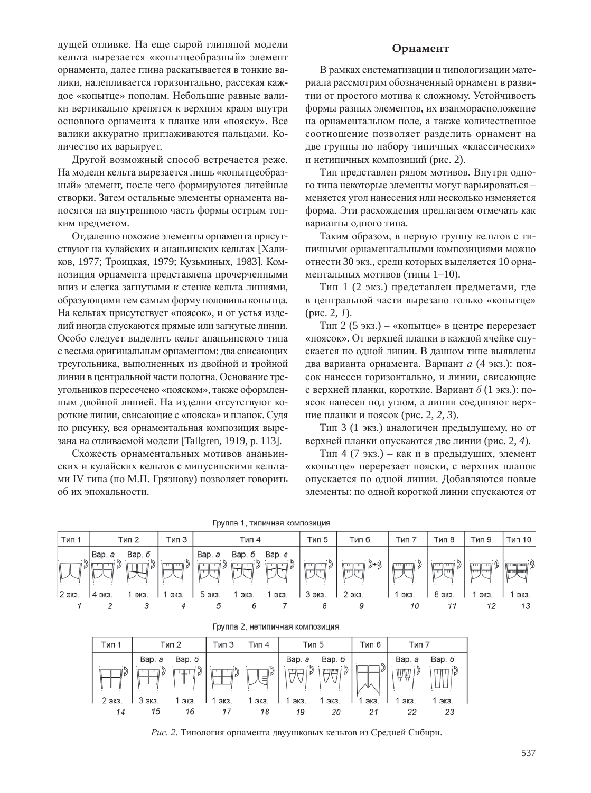дущей отливке. На еще сырой глиняной модели кельта вырезается «копытцеобразный» элемент орнамента, далее глина раскатывается в тонкие валики, налепливается горизонтально, рассекая каждое «копытце» пополам. Небольшие равные валики вертикально крепятся к верхним краям внутри основного орнамента к планке или «пояску». Все валики аккуратно приглаживаются пальцами. Количество их варьирует.

Другой возможный способ встречается реже. На модели кельта вырезается лишь «копытцеобразный» элемент, после чего формируются литейные створки. Затем остальные элементы орнамента наносятся на внутреннюю часть формы острым тонким предметом.

Отдаленно похожие элементы орнамента присутствуют на кулайских и ананьинских кельтах [Халиков, 1977; Троицкая, 1979; Кузьминых, 1983]. Композиция орнамента представлена прочерченными вниз и слегка загнутыми к стенке кельта линиями, образующими тем самым форму половины копытца. На кельтах присутствует «поясок», и от устья изделий иногда спускаются прямые или загнутые линии. Особо следует выделить кельт ананьинского типа с весьма оригинальным орнаментом: два свисающих треугольника, выполненных из двойной и тройной линии в центральной части полотна. Основание треугольников пересечено «пояском», также оформленным двойной линией. На изделии отсутствуют короткие линии, свисающие с «пояска» и планок. Судя по рисунку, вся орнаментальная композиция вырезана на отливаемой модели [Tallgren, 1919, p. 113].

Схожесть орнаментальных мотивов ананьинских и кулайских кельтов с минусинскими кельтами IV типа (по М.П. Грязнову) позволяет говорить об их эпохальности.

# **Орнамент**

В рамках систематизации и типологизации материала рассмотрим обозначенный орнамент в развитии от простого мотива к сложному. Устойчивость формы разных элементов, их взаиморасположение на орнаментальном поле, а также количественное соотношение позволяет разделить орнамент на две группы по набору типичных «классических» и нетипичных композиций (рис. 2).

Тип представлен рядом мотивов. Внутри одного типа некоторые элементы могут варьироваться меняется угол нанесения или несколько изменяется форма. Эти расхождения предлагаем отмечать как варианты одного типа.

Таким образом, в первую группу кельтов с типичными орнаментальными композициями можно отнести 30 экз., среди которых выделяется 10 орнаментальных мотивов (типы  $1-10$ ).

Тип 1 (2 экз.) представлен предметами, где в центральной части вырезано только «копытце»  $(pnc. 2, 1)$ .

Тип 2 (5 экз.) – «копытце» в центре перерезает «поясок». От верхней планки в каждой ячейке спускается по одной линии. В данном типе выявлены два варианта орнамента. Вариант *а* (4 экз.): поясок нанесен горизонтально, и линии, свисающие с верхней планки, короткие. Вариант  $\delta$  (1 экз.): поясок нанесен под углом, а линии соединяют верхние планки и поясок (рис. 2, 2, 3).

Тип 3 (1 экз.) аналогичен предыдущему, но от верхней планки опускаются две линии (рис. 2, 4).

Тип 4 (7 экз.) – как и в предыдущих, элемент «копытце» перерезает пояски, с верхних планок опускается по одной линии. Добавляются новые элементы: по одной короткой линии спускаются от

| руппа т, типичная композиция |                                    |                 |                       |                       |                             |                        |                                       |                          |                                     |                              |                                             |  |
|------------------------------|------------------------------------|-----------------|-----------------------|-----------------------|-----------------------------|------------------------|---------------------------------------|--------------------------|-------------------------------------|------------------------------|---------------------------------------------|--|
| Тип 1                        | Тип 2                              | Тип З           | Тип 4                 |                       |                             | Тип 5                  | Тип 6                                 | Тип 7                    | Тип 8                               | Тип 9                        | Тип 10                                      |  |
| 2 экз.                       | Bap. a<br>Bap. 6<br>4 экз.<br>ЭКЗ. | لااسالسا<br>ЭКЗ | Bap. a<br>v<br>5 экз. | Вар. <i>б</i><br>ЭКЗ. | Вар. в<br>لا استقبا<br>ЭКЗ. | 3 וריי וריי ו<br>3 экз | ji D+9<br>السالبيا<br>سراسن<br>2 экз. | i D<br>. السالسة<br>ЭКЗ. | السالسيار<br>. <del></del><br>8 экз | استاستا<br>استزاستار<br>ЭКЗ. | <b>\mmmemmme\</b><br><b>VITTIER</b><br>3K3. |  |
|                              |                                    |                 |                       |                       |                             |                        |                                       | 10                       |                                     |                              |                                             |  |

|  |  |  | руппа 1, типичная композиция |
|--|--|--|------------------------------|
|--|--|--|------------------------------|

|  |  |  |  |  | т руппа 2, нетипичная композиция |
|--|--|--|--|--|----------------------------------|
|--|--|--|--|--|----------------------------------|

| Тип 1  | Тип 2  |        | Тип З | Тип 4 | Тип 5  |        | Тип 6 | Тип 7  |          |
|--------|--------|--------|-------|-------|--------|--------|-------|--------|----------|
|        | Bap. a | Bap. 6 |       |       | Bap. a | Bap. 6 |       | Bap. a | Bap. $6$ |
|        |        |        |       | W     |        | سالسنا |       | ΨŴ     |          |
| 2 экз. | 3 экз. | ЭКЗ    | ЭКЗ   | ЭКЗ   | ЭКЗ.   | 1 экз. | ЭКЗ   | ЭКЗ.   | ЭКЗ.     |
| 14     | 15     | 16     |       | 18    | 19     | 20     |       | 22     | 23       |

Рис. 2. Типология орнамента двуушковых кельтов из Средней Сибири.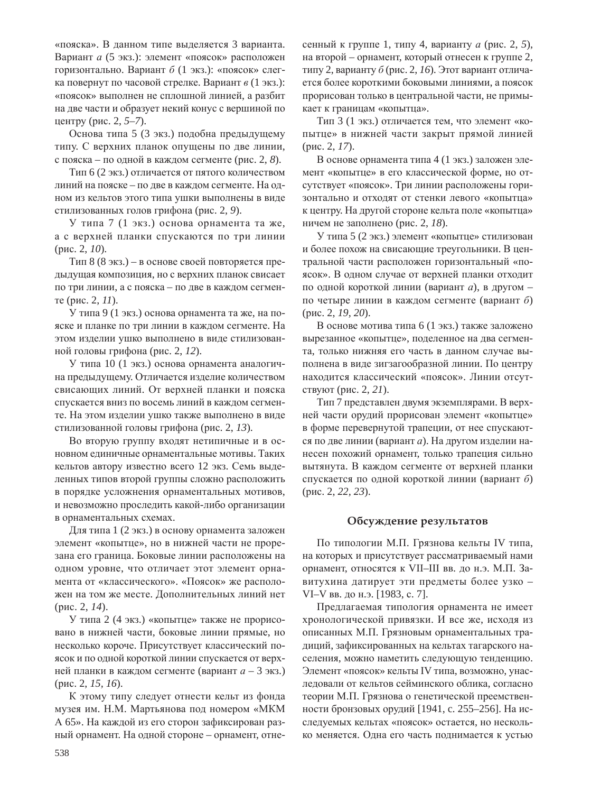«пояска». В данном типе выделяется 3 варианта. Вариант *а* (5 экз.): элемент «поясок» расположен горизонтально. Вариант  $\delta$  (1 экз.): «поясок» слегка повернут по часовой стрелке. Вариант  $\epsilon$  (1 экз.): «поясок» выполнен не сплошной линией, а разбит на две части и образует некий конус с вершиной по центру (рис. 2, *5–7*).

Основа типа 5 (3 экз.) подобна предыдущему типу. С верхних планок опущены по две линии, с пояска – по одной в каждом сегменте (рис. 2, 8).

Тип 6 (2 экз.) отличается от пятого количеством линий на пояске – по две в каждом сегменте. На одном из кельтов этого типа ушки выполнены в виде стилизованных голов грифона (рис. 2, 9).

У типа 7 (1 экз.) основа орнамента та же, а с верхней планки спускаются по три линии  $(p<sub>HC</sub>, 2, 10)$ .

Тип 8 (8 экз.) – в основе своей повторяется предыдущая композиция, но с верхних планок свисает по три линии, а с пояска – по две в каждом сегмен $i$ те (рис. 2,  $11$ ).

У типа 9 (1 экз.) основа орнамента та же, на пояске и планке по три линии в каждом сегменте. На этом изделии ушко выполнено в виде стилизованной головы грифона (рис. 2, 12).

У типа 10 (1 экз.) основа орнамента аналогична предыдущему. Отличается изделие количеством свисающих линий. От верхней планки и пояска спускается вниз по восемь линий в каждом сегменте. На этом изделии ушко также выполнено в виде стилизованной головы грифона (рис. 2, 13).

Во вторую группу входят нетипичные и в основном единичные орнаментальные мотивы. Таких кельтов автору известно всего 12 экз. Семь выделенных типов второй группы сложно расположить в порядке усложнения орнаментальных мотивов, и невозможно проследить какой-либо организации в орнаментальных схемах.

Для типа 1 (2 экз.) в основу орнамента заложен элемент «копытце», но в нижней части не прорезана его граница. Боковые линии расположены на одном уровне, что отличает этот элемент орнамента от «классического». «Поясок» же расположен на том же месте. Дополнительных линий нет (рис. 2, 14).

У типа 2 (4 экз.) «копытце» также не прорисовано в нижней части, боковые линии прямые, но несколько короче. Присутствует классический поясок и по одной короткой линии спускается от верхней планки в каждом сегменте (вариант  $a - 3$  экз.) (рис. 2, 15, 16).

К этому типу следует отнести кельт из фонда музея им. Н.М. Мартьянова под номером «МКМ А 65». На каждой из его сторон зафиксирован разный орнамент. На одной стороне – орнамент, отнесенный к группе 1, типу 4, варианту *а* (рис. 2, 5), на второй – орнамент, который отнесен к группе 2, типу 2, варианту б (рис. 2, 16). Этот вариант отличается более короткими боковыми линиями, а поясок прорисован только в центральной части, не примыкает к границам «копытца».

Тип 3 (1 экз.) отличается тем, что элемент «копытце» в нижней части закрыт прямой линией (рис. 2, 17).

В основе орнамента типа 4 (1 экз.) заложен элемент «копытце» в его классической форме, но отсутствует «поясок». Три линии расположены горизонтально и отходят от стенки левого «копытца» к центру. На другой стороне кельта поле «копытца» ничем не заполнено (рис. 2, 18).

У типа 5 (2 экз.) элемент «копытце» стилизован и более похож на свисающие треугольники. В центральной части расположен горизонтальный «поясок». В одном случае от верхней планки отходит по одной короткой линии (вариант *а*), в другом по четыре линии в каждом сегменте (вариант б) (рис. 2, 19, 20).

В основе мотива типа 6 (1 экз.) также заложено вырезанное «копытце», поделенное на два сегмента, только нижняя его часть в данном случае выполнена в виде зигзагообразной линии. По центру находится классический «поясок». Линии отсутствуют (рис. 2, 21).

Тип 7 представлен двумя экземплярами. В верхней части орудий прорисован элемент «копытце» в форме перевернутой трапеции, от нее спускаются по две линии (вариант *а*). На другом изделии нанесен похожий орнамент, только трапеция сильно вытянута. В каждом сегменте от верхней планки спускается по одной короткой линии (вариант б) (рис. 2, 22, 23).

## Обсуждение результатов

По типологии М.П. Грязнова кельты IV типа, на которых и присутствует рассматриваемый нами орнамент, относятся к VII-III вв. до н.э. М.П. Завитухина датирует эти предметы более узко -VI–V вв. до н.э. [1983, с. 7].

Предлагаемая типология орнамента не имеет хронологической привязки. И все же, исходя из описанных М.П. Грязновым орнаментальных традиций, зафиксированных на кельтах тагарского населения, можно наметить следующую тенденцию. Элемент «поясок» кельты IV типа, возможно, унаследовали от кельтов сейминского облика, согласно теории М.П. Грязнова о генетической преемственности бронзовых орудий [1941, с. 255-256]. На исследуемых кельтах «поясок» остается, но несколько меняется. Одна его часть поднимается к устью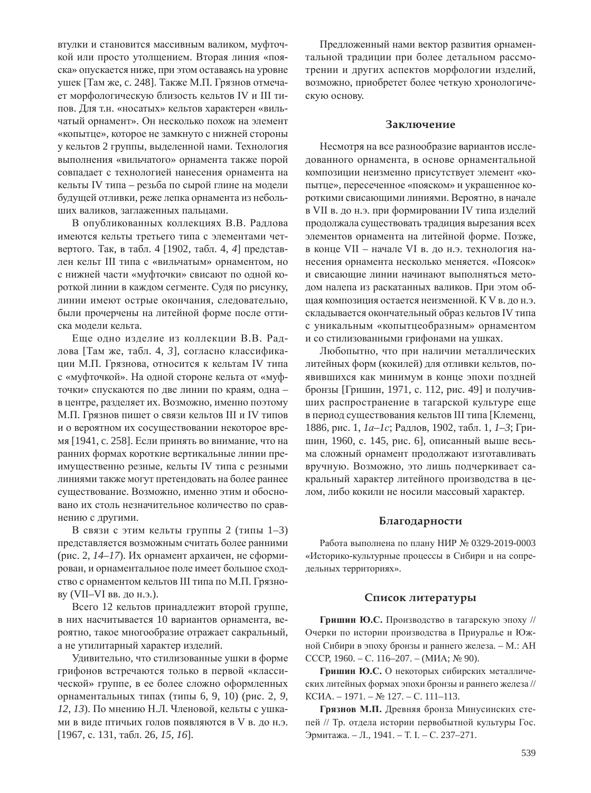втулки и становится массивным валиком, муфточкой или просто утолщением. Вторая линия «пояска» опускается ниже, при этом оставаясь на уровне ушек [Там же, с. 248]. Также М.П. Грязнов отмечает морфологическую близость кельтов IV и III типов. Для т.н. «носатых» кельтов характерен «вильчатый орнамент». Он несколько похож на элемент «копытце», которое не замкнуто с нижней стороны у кельтов 2 группы, выделенной нами. Технология выполнения «вильчатого» орнамента также порой совпадает с технологией нанесения орнамента на кельты IV типа – резьба по сырой глине на модели будущей отливки, реже лепка орнамента из небольших валиков, заглаженных пальцами.

В опубликованных коллекциях В.В. Радлова имеются кельты третьего типа с элементами четвертого. Так, в табл. 4 [1902, табл. 4, 4] представлен кельт III типа с «вильчатым» орнаментом, но с нижней части «муфточки» свисают по одной короткой линии в каждом сегменте. Судя по рисунку, линии имеют острые окончания, следовательно, были прочерчены на литейной форме после оттиска модели кельта.

Еще одно изделие из коллекции В.В. Радлова [Там же, табл. 4, 3], согласно классификации М.П. Грязнова, относится к кельтам IV типа с «муфточкой». На одной стороне кельта от «муфточки» спускаются по две линии по краям, одна в центре, разделяет их. Возможно, именно поэтому М.П. Грязнов пишет о связи кельтов III и IV типов и о вероятном их сосуществовании некоторое время [1941, с. 258]. Если принять во внимание, что на ранних формах короткие вертикальные линии преимущественно резные, кельты IV типа с резными линиями также могут претендовать на более раннее существование. Возможно, именно этим и обосновано их столь незначительное количество по сравнению с другими.

В связи с этим кельты группы 2 (типы 1–3) представляется возможным считать более ранними (рис. 2, *14–17*). Их орнамент архаичен, не сформирован, и орнаментальное поле имеет большое сходство с орнаментом кельтов III типа по М.П. Грязнову (VII–VI вв. до н.э.).

Всего 12 кельтов принадлежит второй группе, в них насчитывается 10 вариантов орнамента, вероятно, такое многообразие отражает сакральный, а не утилитарный характер изделий.

Удивительно, что стилизованные ушки в форме грифонов встречаются только в первой «классической» группе, в ее более сложно оформленных орнаментальных типах (типы 6, 9, 10) (рис. 2, 9, *12, 13*). По мнению Н.Л. Членовой, кельты с ушками в виде птичьих голов появляются в V в. до н.э. [1967, с. 131, табл. 26, 15, 16].

Предложенный нами вектор развития орнаментальной традиции при более детальном рассмотрении и других аспектов морфологии изделий, возможно, приобретет более четкую хронологическую основу.

#### Заключение

Несмотря на все разнообразие вариантов исследованного орнамента, в основе орнаментальной композиции неизменно присутствует элемент «копытце», пересеченное «пояском» и украшенное короткими свисающими линиями. Вероятно, в начале в VII в. до н.э. при формировании IV типа изделий продолжала существовать традиция вырезания всех элементов орнамента на литейной форме. Позже, в конце VII – начале VI в. до н.э. технология нанесения орнамента несколько меняется. «Поясок» и свисающие линии начинают выполняться методом налепа из раскатанных валиков. При этом общая композиция остается неизменной. К V в. до н.э. складывается окончательный образ кельтов IV типа с уникальным «копытцеобразным» орнаментом и со стилизованными грифонами на ушках.

Любопытно, что при наличии металлических литейных форм (кокилей) для отливки кельтов, появившихся как минимум в конце эпохи поздней бронзы [Гришин, 1971, с. 112, рис. 49] и получивших распространение в тагарской культуре еще в период существования кельтов III типа [Клеменц, 1886, рис. 1, *1а–1с*; Радлов, 1902, табл. 1, *1–3*; Гришин, 1960, с. 145, рис. 6], описанный выше весьма сложный орнамент продолжают изготавливать вручную. Возможно, это лишь подчеркивает сакральный характер литейного производства в целом, либо кокили не носили массовый характер.

### **Благодарности**

Работа выполнена по плану НИР № 0329-2019-0003 «Историко-культурные процессы в Сибири и на сопредельных территориях».

#### Список литературы

Гришин Ю.С. Производство в тагарскую эпоху // Очерки по истории производства в Приуралье и Южной Сибири в эпоху бронзы и раннего железа. - М.: АН CCCP, 1960. – C. 116–207. – (MHA; № 90).

Гришин Ю.С. О некоторых сибирских металлических литейных формах эпохи бронзы и раннего железа // КСИА. – 1971. – № 127. – С. 111–113.

Грязнов М.П. Древняя бронза Минусинских степей // Тр. отдела истории первобытной культуры Гос. Эрмитажа. – Л., 1941. – Т. I. – С. 237–271.